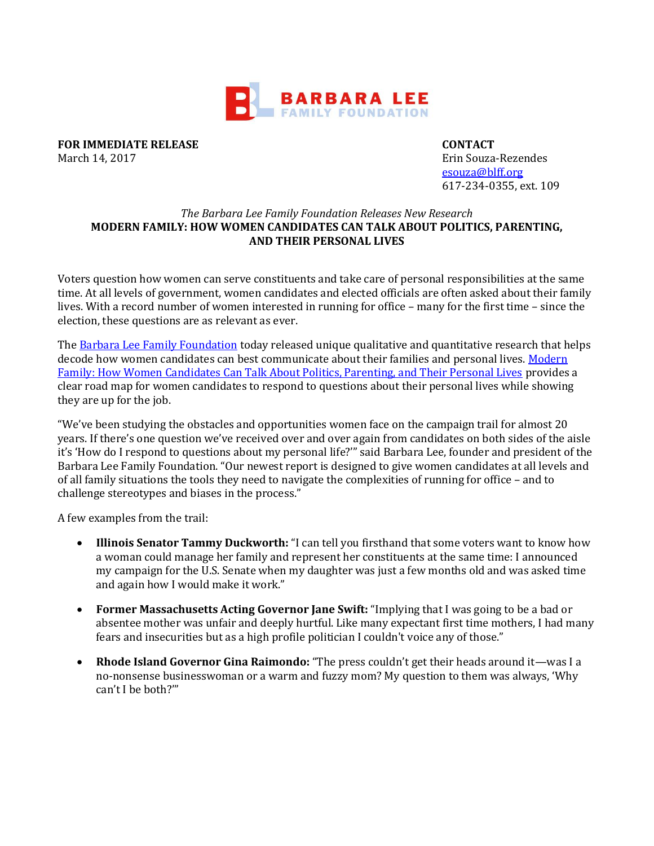

**FOR IMMEDIATE RELEASE CONTACT** March 14, 2017 Erin Souza-Rezendes

[esouza@blff.org](mailto:esouza@blff.org) 617-234-0355, ext. 109

## *The Barbara Lee Family Foundation Releases New Research* **MODERN FAMILY: HOW WOMEN CANDIDATES CAN TALK ABOUT POLITICS, PARENTING, AND THEIR PERSONAL LIVES**

Voters question how women can serve constituents and take care of personal responsibilities at the same time. At all levels of government, women candidates and elected officials are often asked about their family lives. With a record number of women interested in running for office – many for the first time – since the election, these questions are as relevant as ever.

Th[e Barbara Lee Family Foundation](http://www.barbaraleefoundation.org/) today released unique qualitative and quantitative research that helps decode how women candidates can best communicate about their families and personal lives. Modern [Family: How Women Candidates Can Talk About Politics, Parenting, and Their Personal Lives](http://www.barbaraleefoundation.org/wp-content/uploads/BL_Memo_Final-3.22.17.pdf) provides a clear road map for women candidates to respond to questions about their personal lives while showing they are up for the job.

"We've been studying the obstacles and opportunities women face on the campaign trail for almost 20 years. If there's one question we've received over and over again from candidates on both sides of the aisle it's 'How do I respond to questions about my personal life?'" said Barbara Lee, founder and president of the Barbara Lee Family Foundation. "Our newest report is designed to give women candidates at all levels and of all family situations the tools they need to navigate the complexities of running for office – and to challenge stereotypes and biases in the process."

A few examples from the trail:

- **Illinois Senator Tammy Duckworth:** "I can tell you firsthand that some voters want to know how a woman could manage her family and represent her constituents at the same time: I announced my campaign for the U.S. Senate when my daughter was just a few months old and was asked time and again how I would make it work."
- **Former Massachusetts Acting Governor Jane Swift:** "Implying that I was going to be a bad or absentee mother was unfair and deeply hurtful. Like many expectant first time mothers, I had many fears and insecurities but as a high profile politician I couldn't voice any of those."
- **Rhode Island Governor Gina Raimondo:** "The press couldn't get their heads around it—was I a no-nonsense businesswoman or a warm and fuzzy mom? My question to them was always, 'Why can't I be both?'"